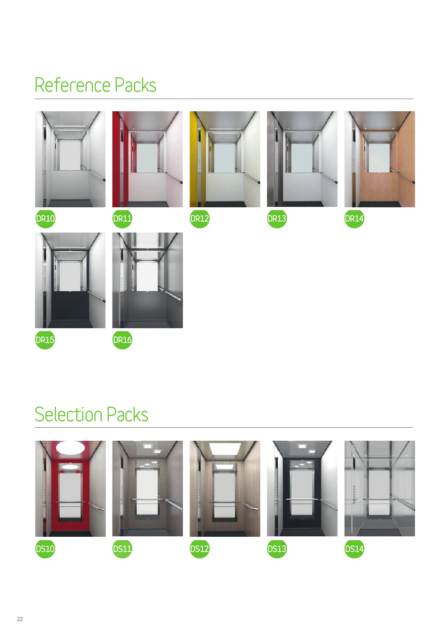# **Reference Packs**



# **Selection Packs**